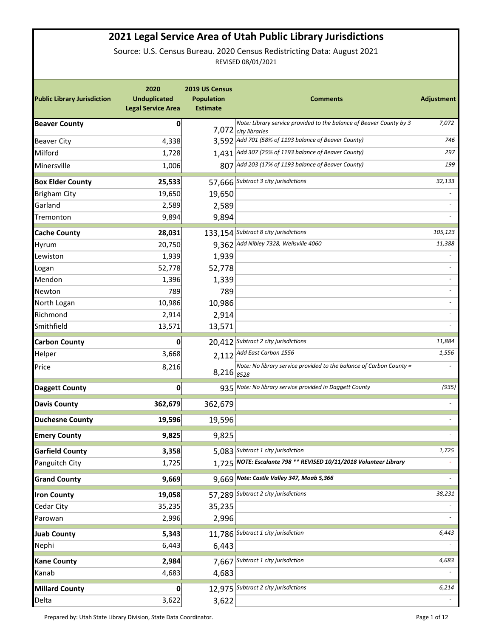## **2021 Legal Service Area of Utah Public Library Jurisdictions**

Source: U.S. Census Bureau. 2020 Census Redistricting Data: August 2021 REVISED 08/01/2021

| <b>Public Library Jurisdiction</b> | 2020<br><b>Unduplicated</b><br><b>Legal Service Area</b> | 2019 US Census<br><b>Population</b><br><b>Estimate</b> | <b>Comments</b>                                                                             | Adjustment               |
|------------------------------------|----------------------------------------------------------|--------------------------------------------------------|---------------------------------------------------------------------------------------------|--------------------------|
| <b>Beaver County</b>               | 0                                                        |                                                        | Note: Library service provided to the balance of Beaver County by 3<br>7,072 city libraries | 7,072                    |
| <b>Beaver City</b>                 | 4,338                                                    |                                                        | 3,592 Add 701 (58% of 1193 balance of Beaver County)                                        | 746                      |
| Milford                            | 1,728                                                    |                                                        | 1,431 Add 307 (25% of 1193 balance of Beaver County)                                        | 297                      |
| Minersville                        | 1,006                                                    |                                                        | 807 Add 203 (17% of 1193 balance of Beaver County)                                          | 199                      |
| <b>Box Elder County</b>            | 25,533                                                   |                                                        | 57,666 Subtract 3 city jurisdictions                                                        | 32,133                   |
| <b>Brigham City</b>                | 19,650                                                   | 19,650                                                 |                                                                                             |                          |
| Garland                            | 2,589                                                    | 2,589                                                  |                                                                                             |                          |
| Tremonton                          | 9,894                                                    | 9,894                                                  |                                                                                             |                          |
| <b>Cache County</b>                | 28,031                                                   |                                                        | 133,154 Subtract 8 city jurisdictions                                                       | 105,123                  |
| Hyrum                              | 20,750                                                   |                                                        | 9,362 Add Nibley 7328, Wellsville 4060                                                      | 11,388                   |
| Lewiston                           | 1,939                                                    | 1,939                                                  |                                                                                             |                          |
| Logan                              | 52,778                                                   | 52,778                                                 |                                                                                             |                          |
| Mendon                             | 1,396                                                    | 1,339                                                  |                                                                                             |                          |
| Newton                             | 789                                                      | 789                                                    |                                                                                             |                          |
| North Logan                        | 10,986                                                   | 10,986                                                 |                                                                                             |                          |
| Richmond                           | 2,914                                                    | 2,914                                                  |                                                                                             |                          |
| Smithfield                         | 13,571                                                   | 13,571                                                 |                                                                                             |                          |
| <b>Carbon County</b>               | 0                                                        |                                                        | 20,412 Subtract 2 city jurisdictions                                                        | 11,884                   |
| Helper                             | 3,668                                                    |                                                        | 2,112 Add East Carbon 1556                                                                  | 1,556                    |
| Price                              | 8,216                                                    | 8,216 8528                                             | Note: No library service provided to the balance of Carbon County =                         |                          |
| <b>Daggett County</b>              | 0                                                        |                                                        | 935 Note: No library service provided in Daggett County                                     | (935)                    |
| <b>Davis County</b>                | 362,679                                                  | 362,679                                                |                                                                                             |                          |
| <b>Duchesne County</b>             | 19,596                                                   | 19,596                                                 |                                                                                             |                          |
| <b>Emery County</b>                | 9,825                                                    | 9,825                                                  |                                                                                             |                          |
| <b>Garfield County</b>             | 3,358                                                    |                                                        | 5,083 Subtract 1 city jurisdiction                                                          | 1,725                    |
| Panguitch City                     | 1,725                                                    |                                                        | 1,725 NOTE: Escalante 798 ** REVISED 10/11/2018 Volunteer Library                           |                          |
| <b>Grand County</b>                | 9,669                                                    |                                                        | 9,669 Note: Castle Valley 347, Moab 5,366                                                   |                          |
| <b>Iron County</b>                 | 19,058                                                   |                                                        | 57,289 Subtract 2 city jurisdictions                                                        | 38,231                   |
| Cedar City                         | 35,235                                                   | 35,235                                                 |                                                                                             |                          |
| Parowan                            | 2,996                                                    | 2,996                                                  |                                                                                             |                          |
| <b>Juab County</b>                 | 5,343                                                    |                                                        | 11,786 Subtract 1 city jurisdiction                                                         | 6,443                    |
| Nephi                              | 6,443                                                    | 6,443                                                  |                                                                                             |                          |
| <b>Kane County</b>                 | 2,984                                                    | 7,667                                                  | Subtract 1 city jurisdiction                                                                | 4,683                    |
| Kanab                              | 4,683                                                    | 4,683                                                  |                                                                                             |                          |
| <b>Millard County</b>              | 0                                                        |                                                        | 12,975 Subtract 2 city jurisdictions                                                        | 6,214                    |
| Delta                              | 3,622                                                    | 3,622                                                  |                                                                                             | $\overline{\phantom{a}}$ |

Prepared by: Utah State Library Division, State Data Coordinator. **Page 1 of 12** Page 1 of 12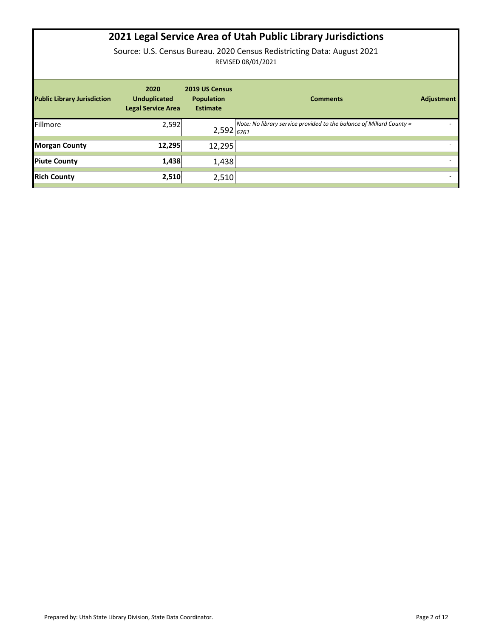## **2021 Legal Service Area of Utah Public Library Jurisdictions**

Source: U.S. Census Bureau. 2020 Census Redistricting Data: August 2021 REVISED 08/01/2021

| <b>Public Library Jurisdiction</b> | 2020<br><b>Unduplicated</b><br><b>Legal Service Area</b> | 2019 US Census<br><b>Population</b><br><b>Estimate</b> | <b>Comments</b>                                                      | <b>Adjustment</b> |
|------------------------------------|----------------------------------------------------------|--------------------------------------------------------|----------------------------------------------------------------------|-------------------|
| Fillmore                           | 2,592                                                    | $2,592$ <sub>6761</sub>                                | Note: No library service provided to the balance of Millard County = |                   |
| <b>Morgan County</b>               | 12,295                                                   | 12,295                                                 |                                                                      |                   |
| <b>Piute County</b>                | 1,438                                                    | 1,438                                                  |                                                                      |                   |
| <b>Rich County</b>                 | 2,510                                                    | 2,510                                                  |                                                                      |                   |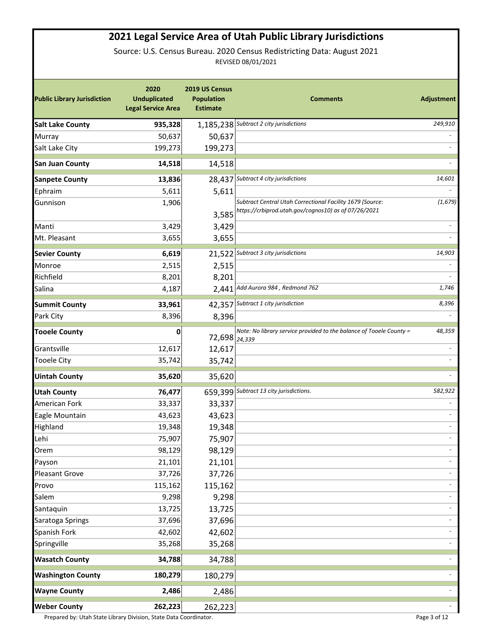## **2021 Legal Service Area of Utah Public Library Jurisdictions**

Source: U.S. Census Bureau. 2020 Census Redistricting Data: August 2021 REVISED 08/01/2021

| <b>Public Library Jurisdiction</b> | 2020<br><b>Unduplicated</b><br><b>Legal Service Area</b> | 2019 US Census<br><b>Population</b><br><b>Estimate</b> | <b>Comments</b>                                                     | Adjustment               |
|------------------------------------|----------------------------------------------------------|--------------------------------------------------------|---------------------------------------------------------------------|--------------------------|
| <b>Salt Lake County</b>            | 935,328                                                  |                                                        | 1,185,238 Subtract 2 city jurisdictions                             | 249,910                  |
| Murray                             | 50,637                                                   | 50,637                                                 |                                                                     |                          |
| Salt Lake City                     | 199,273                                                  | 199,273                                                |                                                                     |                          |
| <b>San Juan County</b>             | 14,518                                                   | 14,518                                                 |                                                                     |                          |
| <b>Sanpete County</b>              | 13,836                                                   | 28,437                                                 | Subtract 4 city jurisdictions                                       | 14,601                   |
| Ephraim                            | 5,611                                                    | 5,611                                                  |                                                                     |                          |
| Gunnison                           | 1,906                                                    |                                                        | Subtract Central Utah Correctional Facility 1679 (Source:           | (1, 679)                 |
|                                    |                                                          | 3,585                                                  | https://crbiprod.utah.gov/cognos10) as of 07/26/2021                |                          |
| Manti                              | 3,429                                                    | 3,429                                                  |                                                                     |                          |
| Mt. Pleasant                       | 3,655                                                    | 3,655                                                  |                                                                     |                          |
| <b>Sevier County</b>               | 6,619                                                    |                                                        | 21,522 Subtract 3 city jurisdictions                                | 14,903                   |
| Monroe                             | 2,515                                                    | 2,515                                                  |                                                                     |                          |
| Richfield                          | 8,201                                                    | 8,201                                                  |                                                                     |                          |
| Salina                             | 4,187                                                    |                                                        | 2,441 Add Aurora 984, Redmond 762                                   | 1,746                    |
| <b>Summit County</b>               | 33,961                                                   | 42,357                                                 | Subtract 1 city jurisdiction                                        | 8,396                    |
| Park City                          | 8,396                                                    | 8,396                                                  |                                                                     |                          |
| <b>Tooele County</b>               | 0                                                        | 72,698 24,339                                          | Note: No library service provided to the balance of Tooele County = | 48,359                   |
| Grantsville                        | 12,617                                                   | 12,617                                                 |                                                                     |                          |
| <b>Tooele City</b>                 | 35,742                                                   | 35,742                                                 |                                                                     |                          |
| <b>Uintah County</b>               | 35,620                                                   | 35,620                                                 |                                                                     |                          |
| <b>Utah County</b>                 | 76,477                                                   | 659,399                                                | Subtract 13 city jurisdictions.                                     | 582,922                  |
| American Fork                      | 33,337                                                   | 33,337                                                 |                                                                     |                          |
| Eagle Mountain                     | 43,623                                                   | 43,623                                                 |                                                                     |                          |
| Highland                           | 19,348                                                   | 19,348                                                 |                                                                     | $\overline{\phantom{a}}$ |
| Lehi                               | 75,907                                                   | 75,907                                                 |                                                                     |                          |
| Orem                               | 98,129                                                   | 98,129                                                 |                                                                     | $\overline{\phantom{a}}$ |
| Payson                             | 21,101                                                   | 21,101                                                 |                                                                     |                          |
| <b>Pleasant Grove</b>              | 37,726                                                   | 37,726                                                 |                                                                     | $\blacksquare$           |
| Provo                              | 115,162                                                  | 115,162                                                |                                                                     |                          |
| Salem                              | 9,298                                                    | 9,298                                                  |                                                                     |                          |
| Santaquin                          | 13,725                                                   | 13,725                                                 |                                                                     |                          |
| Saratoga Springs                   | 37,696                                                   | 37,696                                                 |                                                                     |                          |
| Spanish Fork                       | 42,602                                                   | 42,602                                                 |                                                                     | $\overline{\phantom{0}}$ |
| Springville                        | 35,268                                                   | 35,268                                                 |                                                                     |                          |
| <b>Wasatch County</b>              | 34,788                                                   | 34,788                                                 |                                                                     |                          |
| <b>Washington County</b>           | 180,279                                                  | 180,279                                                |                                                                     | $\overline{\phantom{a}}$ |
| <b>Wayne County</b>                | 2,486                                                    | 2,486                                                  |                                                                     |                          |
| <b>Weber County</b>                | 262,223                                                  | 262,223                                                |                                                                     | $\overline{\phantom{a}}$ |

Prepared by: Utah State Library Division, State Data Coordinator. Page 3 of 12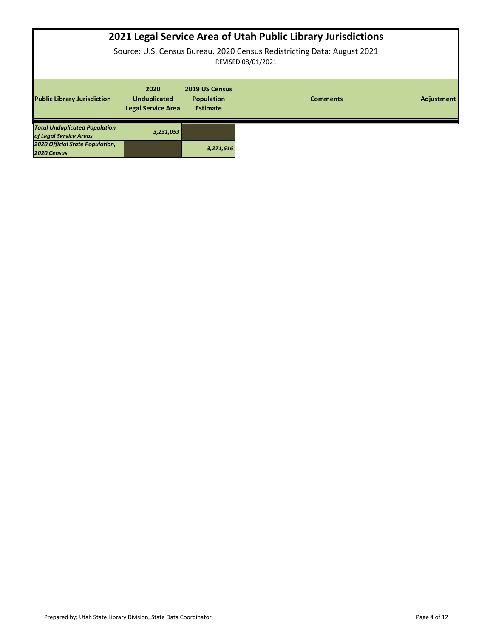| 2021 Legal Service Area of Utah Public Library Jurisdictions<br>Source: U.S. Census Bureau. 2020 Census Redistricting Data: August 2021<br>REVISED 08/01/2021 |                                                          |                                                        |                 |                   |
|---------------------------------------------------------------------------------------------------------------------------------------------------------------|----------------------------------------------------------|--------------------------------------------------------|-----------------|-------------------|
|                                                                                                                                                               |                                                          |                                                        |                 |                   |
| <b>Public Library Jurisdiction</b>                                                                                                                            | 2020<br><b>Unduplicated</b><br><b>Legal Service Area</b> | 2019 US Census<br><b>Population</b><br><b>Estimate</b> | <b>Comments</b> | <b>Adjustment</b> |
| <b>Total Unduplicated Population</b><br>of Legal Service Areas                                                                                                | 3,231,053                                                |                                                        |                 |                   |
| 2020 Official State Population,<br>2020 Census                                                                                                                |                                                          | 3,271,616                                              |                 |                   |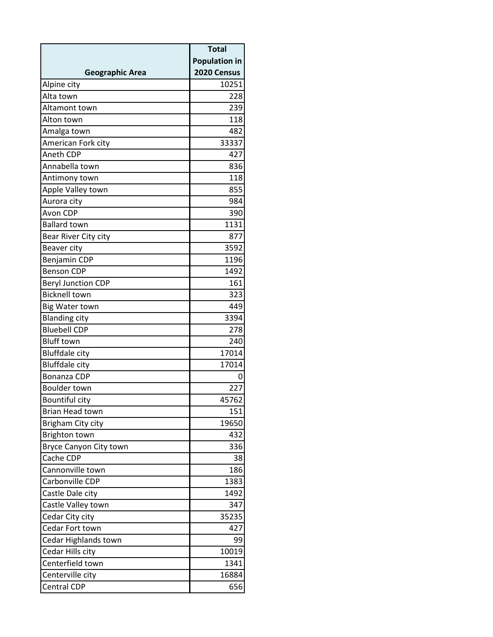|                           | <b>Total</b>         |
|---------------------------|----------------------|
|                           | <b>Population in</b> |
| <b>Geographic Area</b>    | 2020 Census          |
| Alpine city               | 10251                |
| Alta town                 | 228                  |
| Altamont town             | 239                  |
| Alton town                | 118                  |
| Amalga town               | 482                  |
| American Fork city        | 33337                |
| Aneth CDP                 | 427                  |
| Annabella town            | 836                  |
| Antimony town             | 118                  |
| Apple Valley town         | 855                  |
| Aurora city               | 984                  |
| Avon CDP                  | 390                  |
| <b>Ballard town</b>       | 1131                 |
| Bear River City city      | 877                  |
| Beaver city               | 3592                 |
| <b>Benjamin CDP</b>       | 1196                 |
| <b>Benson CDP</b>         | 1492                 |
| <b>Beryl Junction CDP</b> | 161                  |
| <b>Bicknell town</b>      | 323                  |
| <b>Big Water town</b>     | 449                  |
| <b>Blanding city</b>      | 3394                 |
| <b>Bluebell CDP</b>       | 278                  |
| <b>Bluff town</b>         | 240                  |
| <b>Bluffdale city</b>     | 17014                |
| <b>Bluffdale city</b>     | 17014                |
| Bonanza CDP               | O                    |
| <b>Boulder town</b>       | 227                  |
| Bountiful city            | 45762                |
| Brian Head town           | 151                  |
| Brigham City city         | 19650                |
| <b>Brighton town</b>      | 432                  |
| Bryce Canyon City town    | 336                  |
| Cache CDP                 | 38                   |
| Cannonville town          | 186                  |
| Carbonville CDP           | 1383                 |
| Castle Dale city          | 1492                 |
| Castle Valley town        | 347                  |
| Cedar City city           | 35235                |
| Cedar Fort town           | 427                  |
| Cedar Highlands town      | 99                   |
| Cedar Hills city          | 10019                |
| Centerfield town          | 1341                 |
| Centerville city          | 16884                |
| <b>Central CDP</b>        | 656                  |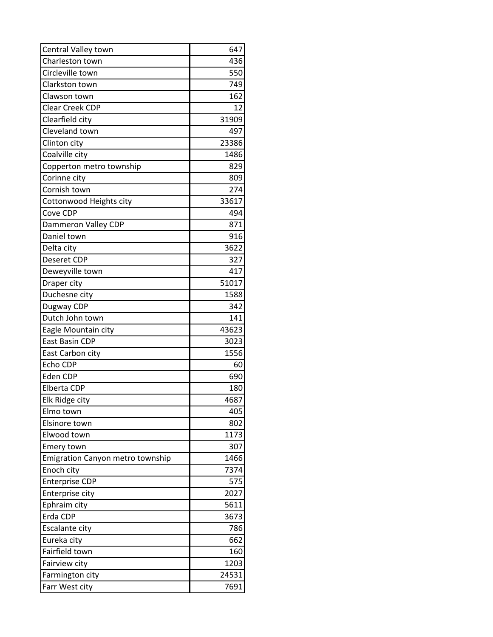| Central Valley town                     | 647   |
|-----------------------------------------|-------|
| Charleston town                         | 436   |
| Circleville town                        | 550   |
| Clarkston town                          | 749   |
| Clawson town                            | 162   |
| <b>Clear Creek CDP</b>                  | 12    |
| Clearfield city                         | 31909 |
| Cleveland town                          | 497   |
| Clinton city                            | 23386 |
| Coalville city                          | 1486  |
| Copperton metro township                | 829   |
| Corinne city                            | 809   |
| Cornish town                            | 274   |
| Cottonwood Heights city                 | 33617 |
| Cove CDP                                | 494   |
| Dammeron Valley CDP                     | 871   |
| Daniel town                             | 916   |
| Delta city                              | 3622  |
| Deseret CDP                             | 327   |
| Deweyville town                         | 417   |
| Draper city                             | 51017 |
| Duchesne city                           | 1588  |
| Dugway CDP                              | 342   |
| Dutch John town                         | 141   |
| Eagle Mountain city                     | 43623 |
| East Basin CDP                          | 3023  |
| East Carbon city                        | 1556  |
| Echo CDP                                | 60    |
| Eden CDP                                | 690   |
| <b>Elberta CDP</b>                      | 180   |
| Elk Ridge city                          | 4687  |
| Elmo town                               | 405   |
| Elsinore town                           | 802   |
| Elwood town                             | 1173  |
| Emery town                              | 307   |
| <b>Emigration Canyon metro township</b> | 1466  |
| Enoch city                              | 7374  |
| <b>Enterprise CDP</b>                   | 575   |
| <b>Enterprise city</b>                  | 2027  |
| Ephraim city                            | 5611  |
| Erda CDP                                | 3673  |
| Escalante city                          | 786   |
| Eureka city                             | 662   |
| Fairfield town                          | 160   |
| Fairview city                           | 1203  |
| Farmington city                         | 24531 |
| Farr West city                          | 7691  |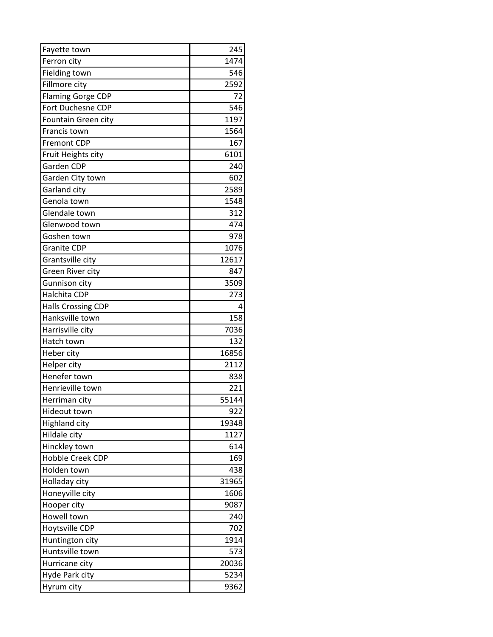| Fayette town              | 245   |
|---------------------------|-------|
| Ferron city               | 1474  |
| <b>Fielding town</b>      | 546   |
| Fillmore city             | 2592  |
| <b>Flaming Gorge CDP</b>  | 72    |
| Fort Duchesne CDP         | 546   |
| Fountain Green city       | 1197  |
| Francis town              | 1564  |
| <b>Fremont CDP</b>        | 167   |
| Fruit Heights city        | 6101  |
| Garden CDP                | 240   |
| Garden City town          | 602   |
| Garland city              | 2589  |
| Genola town               | 1548  |
| Glendale town             | 312   |
| Glenwood town             | 474   |
| Goshen town               | 978   |
| <b>Granite CDP</b>        | 1076  |
| Grantsville city          | 12617 |
| Green River city          | 847   |
| Gunnison city             | 3509  |
| Halchita CDP              | 273   |
| <b>Halls Crossing CDP</b> | 4     |
| Hanksville town           | 158   |
| Harrisville city          | 7036  |
| Hatch town                | 132   |
| Heber city                | 16856 |
| Helper city               | 2112  |
| Henefer town              | 838   |
| Henrieville town          | 221   |
| Herriman city             | 55144 |
| Hideout town              | 922   |
| <b>Highland city</b>      | 19348 |
| Hildale city              | 1127  |
| Hinckley town             | 614   |
| <b>Hobble Creek CDP</b>   | 169   |
| Holden town               | 438   |
| Holladay city             | 31965 |
| Honeyville city           | 1606  |
| Hooper city               | 9087  |
| Howell town               | 240   |
| Hoytsville CDP            | 702   |
| Huntington city           | 1914  |
| Huntsville town           | 573   |
| Hurricane city            | 20036 |
| Hyde Park city            | 5234  |
| Hyrum city                | 9362  |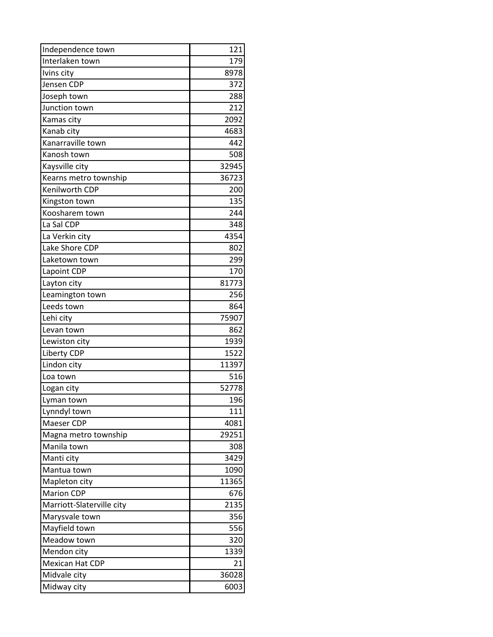| Independence town         | 121   |
|---------------------------|-------|
| Interlaken town           | 179   |
| Ivins city                | 8978  |
| Jensen CDP                | 372   |
| Joseph town               | 288   |
| Junction town             | 212   |
| Kamas city                | 2092  |
| Kanab city                | 4683  |
| Kanarraville town         | 442   |
| Kanosh town               | 508   |
| Kaysville city            | 32945 |
| Kearns metro township     | 36723 |
| Kenilworth CDP            | 200   |
| Kingston town             | 135   |
| Koosharem town            | 244   |
| La Sal CDP                | 348   |
| La Verkin city            | 4354  |
| Lake Shore CDP            | 802   |
| Laketown town             | 299   |
| Lapoint CDP               | 170   |
| Layton city               | 81773 |
| Leamington town           | 256   |
| Leeds town                | 864   |
| Lehi city                 | 75907 |
| Levan town                | 862   |
| Lewiston city             | 1939  |
| Liberty CDP               | 1522  |
| Lindon city               | 11397 |
| Loa town                  | 516   |
| Logan city                | 52778 |
| Lyman town                | 196   |
| Lynndyl town              | 111   |
| Maeser CDP                | 4081  |
| Magna metro township      | 29251 |
| Manila town               | 308   |
| Manti city                | 3429  |
| Mantua town               | 1090  |
| Mapleton city             | 11365 |
| <b>Marion CDP</b>         | 676   |
| Marriott-Slaterville city | 2135  |
| Marysvale town            | 356   |
| Mayfield town             | 556   |
| Meadow town               | 320   |
| Mendon city               | 1339  |
| Mexican Hat CDP           | 21    |
| Midvale city              | 36028 |
| Midway city               | 6003  |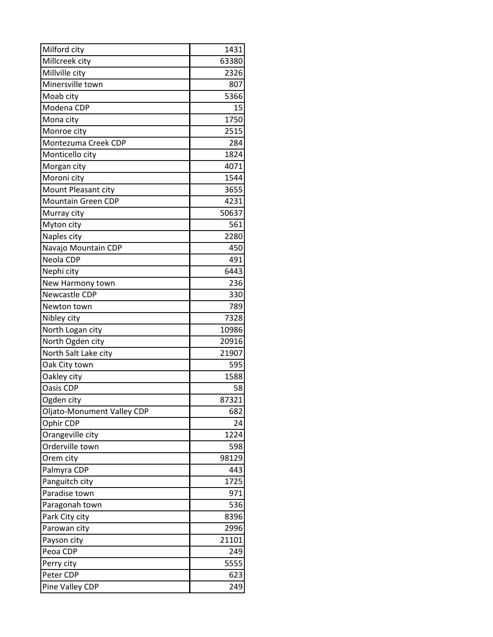| Milford city               | 1431  |
|----------------------------|-------|
| Millcreek city             | 63380 |
| Millville city             | 2326  |
| Minersville town           | 807   |
| Moab city                  | 5366  |
| Modena CDP                 | 15    |
| Mona city                  | 1750  |
| Monroe city                | 2515  |
| Montezuma Creek CDP        | 284   |
| Monticello city            | 1824  |
| Morgan city                | 4071  |
| Moroni city                | 1544  |
| Mount Pleasant city        | 3655  |
| Mountain Green CDP         | 4231  |
| Murray city                | 50637 |
| Myton city                 | 561   |
| Naples city                | 2280  |
| Navajo Mountain CDP        | 450   |
| Neola CDP                  | 491   |
| Nephi city                 | 6443  |
| New Harmony town           | 236   |
| Newcastle CDP              | 330   |
| Newton town                | 789   |
| Nibley city                | 7328  |
| North Logan city           | 10986 |
| North Ogden city           | 20916 |
| North Salt Lake city       | 21907 |
| Oak City town              | 595   |
| Oakley city                | 1588  |
| Oasis CDP                  | 58    |
| Ogden city                 | 87321 |
| Oljato-Monument Valley CDP | 682   |
| Ophir CDP                  | 24    |
| Orangeville city           | 1224  |
| Orderville town            | 598   |
| Orem city                  | 98129 |
| Palmyra CDP                | 443   |
| Panguitch city             | 1725  |
| Paradise town              | 971   |
| Paragonah town             | 536   |
| Park City city             | 8396  |
| Parowan city               | 2996  |
| Payson city                | 21101 |
| Peoa CDP                   | 249   |
| Perry city                 | 5555  |
| Peter CDP                  | 623   |
| Pine Valley CDP            | 249   |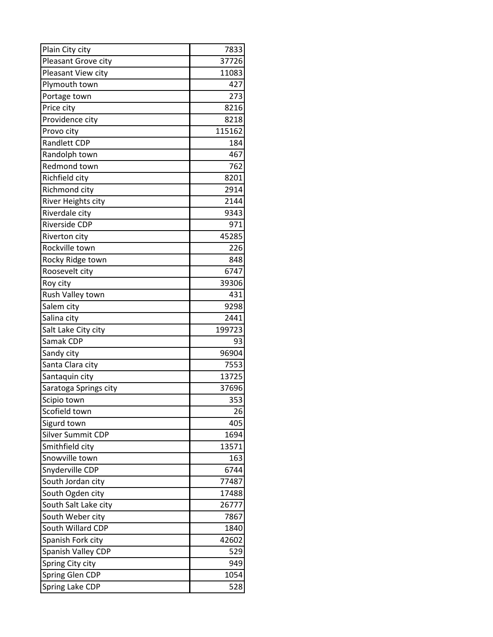| Plain City city       | 7833   |
|-----------------------|--------|
| Pleasant Grove city   | 37726  |
| Pleasant View city    | 11083  |
| Plymouth town         | 427    |
| Portage town          | 273    |
| Price city            | 8216   |
| Providence city       | 8218   |
| Provo city            | 115162 |
| <b>Randlett CDP</b>   | 184    |
| Randolph town         | 467    |
| Redmond town          | 762    |
| Richfield city        | 8201   |
| Richmond city         | 2914   |
| River Heights city    | 2144   |
| Riverdale city        | 9343   |
| Riverside CDP         | 971    |
| Riverton city         | 45285  |
| Rockville town        | 226    |
| Rocky Ridge town      | 848    |
| Roosevelt city        | 6747   |
| Roy city              | 39306  |
| Rush Valley town      | 431    |
| Salem city            | 9298   |
| Salina city           | 2441   |
| Salt Lake City city   | 199723 |
| Samak CDP             | 93     |
| Sandy city            | 96904  |
| Santa Clara city      | 7553   |
| Santaquin city        | 13725  |
| Saratoga Springs city | 37696  |
| Scipio town           | 353    |
| Scofield town         | 26     |
| Sigurd town           | 405    |
| Silver Summit CDP     | 1694   |
| Smithfield city       | 13571  |
| Snowville town        | 163    |
| Snyderville CDP       | 6744   |
| South Jordan city     | 77487  |
| South Ogden city      | 17488  |
| South Salt Lake city  | 26777  |
| South Weber city      | 7867   |
| South Willard CDP     | 1840   |
| Spanish Fork city     | 42602  |
| Spanish Valley CDP    | 529    |
| Spring City city      | 949    |
| Spring Glen CDP       | 1054   |
| Spring Lake CDP       | 528    |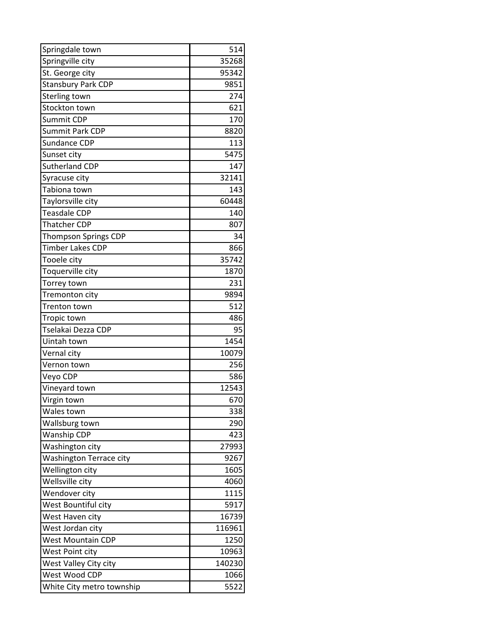| Springdale town                | 514    |
|--------------------------------|--------|
| Springville city               | 35268  |
| St. George city                | 95342  |
| <b>Stansbury Park CDP</b>      | 9851   |
| Sterling town                  | 274    |
| Stockton town                  | 621    |
| Summit CDP                     | 170    |
| Summit Park CDP                | 8820   |
| Sundance CDP                   | 113    |
| Sunset city                    | 5475   |
| Sutherland CDP                 | 147    |
| Syracuse city                  | 32141  |
| Tabiona town                   | 143    |
| Taylorsville city              | 60448  |
| Teasdale CDP                   | 140    |
| <b>Thatcher CDP</b>            | 807    |
| Thompson Springs CDP           | 34     |
| Timber Lakes CDP               | 866    |
| Tooele city                    | 35742  |
| Toquerville city               | 1870   |
| Torrey town                    | 231    |
| Tremonton city                 | 9894   |
| Trenton town                   | 512    |
| Tropic town                    | 486    |
| Tselakai Dezza CDP             | 95     |
| Uintah town                    | 1454   |
| Vernal city                    | 10079  |
| Vernon town                    | 256    |
| Veyo CDP                       | 586    |
| Vineyard town                  | 12543  |
| Virgin town                    | 670    |
| Wales town                     | 338    |
| Wallsburg town                 | 290    |
| Wanship CDP                    | 423    |
| Washington city                | 27993  |
| <b>Washington Terrace city</b> | 9267   |
| Wellington city                | 1605   |
| Wellsville city                | 4060   |
| Wendover city                  | 1115   |
| West Bountiful city            | 5917   |
| West Haven city                | 16739  |
| West Jordan city               | 116961 |
| <b>West Mountain CDP</b>       | 1250   |
| West Point city                | 10963  |
| West Valley City city          | 140230 |
| West Wood CDP                  | 1066   |
| White City metro township      | 5522   |